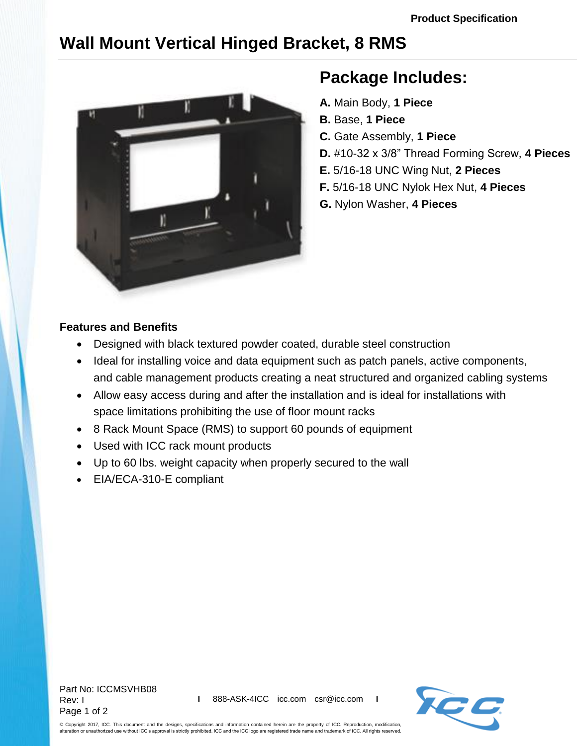## **Wall Mount Vertical Hinged Bracket, 8 RMS**



## **Package Includes:**

- **A.** Main Body, **1 Piece**
- **B.** Base, **1 Piece**
- **C.** Gate Assembly, **1 Piece**
- **D.** #10-32 x 3/8" Thread Forming Screw, **4 Pieces**
- **E.** 5/16-18 UNC Wing Nut, **2 Pieces**
- **F.** 5/16-18 UNC Nylok Hex Nut, **4 Pieces**
- **G.** Nylon Washer, **4 Pieces**

## **Features and Benefits**

- Designed with black textured powder coated, durable steel construction
- Ideal for installing voice and data equipment such as patch panels, active components, and cable management products creating a neat structured and organized cabling systems
- Allow easy access during and after the installation and is ideal for installations with space limitations prohibiting the use of floor mount racks
- 8 Rack Mount Space (RMS) to support 60 pounds of equipment
- Used with ICC rack mount products
- Up to 60 lbs. weight capacity when properly secured to the wall
- EIA/ECA-310-E compliant

Part No: ICCMSVHB08 Rev: I Page 1 of 2



© Copyright 2017, ICC. This document and the designs, specifications and information contained herein are the property of ICC. Reproduction, modification, alteration or unauthorized use without ICC's approval is strictly prohibited. ICC and the ICC logo are registered trade name and trademark of ICC. All rights reserved.